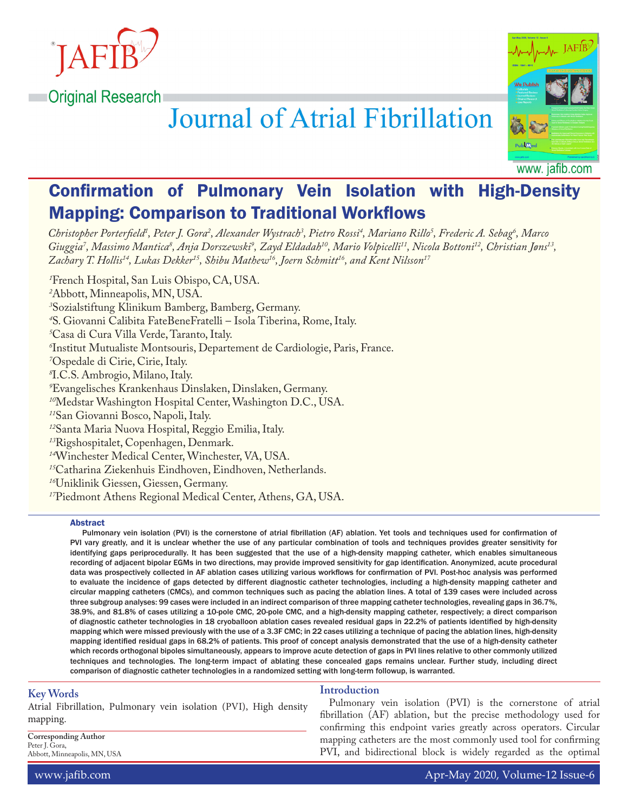

# **Journal of Atrial Fibrillation**



www. jafib.com

# Confirmation of Pulmonary Vein Isolation with High-Density Mapping: Comparison to Traditional Workflows

Christopher Porterfield<sup>1</sup>, Peter J. Gora<sup>2</sup>, Alexander Wystrach<sup>3</sup>, Pietro Rossi<sup>4</sup>, Mariano Rillo<sup>5</sup>, Frederic A. Sebag<sup>6</sup>, Marco Giuggia<sup>7</sup>, Massimo Mantica<sup>8</sup>, Anja Dorszewski<sup>9</sup>, Zayd Eldadah<sup>10</sup>, Mario Volpicelli<sup>11</sup>, Nicola Bottoni<sup>12</sup>, Christian Jøns<sup>13</sup>, *Zachary T. Hollis14, Lukas Dekker15, Shibu Mathew16, Joern Schmitt16, and Kent Nilsson17*

 French Hospital, San Luis Obispo, CA, USA. Abbott, Minneapolis, MN, USA. Sozialstiftung Klinikum Bamberg, Bamberg, Germany. S. Giovanni Calibita FateBeneFratelli – Isola Tiberina, Rome, Italy. Casa di Cura Villa Verde, Taranto, Italy. Institut Mutualiste Montsouris, Departement de Cardiologie, Paris, France. Ospedale di Cirie, Cirie, Italy. I.C.S. Ambrogio, Milano, Italy. Evangelisches Krankenhaus Dinslaken, Dinslaken, Germany. Medstar Washington Hospital Center, Washington D.C., USA. San Giovanni Bosco, Napoli, Italy. Santa Maria Nuova Hospital, Reggio Emilia, Italy. Rigshospitalet, Copenhagen, Denmark. Winchester Medical Center, Winchester, VA, USA. Catharina Ziekenhuis Eindhoven, Eindhoven, Netherlands. Uniklinik Giessen, Giessen, Germany.

*<sup>17</sup>*Piedmont Athens Regional Medical Center, Athens, GA, USA.

#### Abstract

 Pulmonary vein isolation (PVI) is the cornerstone of atrial fibrillation (AF) ablation. Yet tools and techniques used for confirmation of PVI vary greatly, and it is unclear whether the use of any particular combination of tools and techniques provides greater sensitivity for identifying gaps periprocedurally. It has been suggested that the use of a high-density mapping catheter, which enables simultaneous recording of adjacent bipolar EGMs in two directions, may provide improved sensitivity for gap identification. Anonymized, acute procedural data was prospectively collected in AF ablation cases utilizing various workflows for confirmation of PVI. Post-hoc analysis was performed to evaluate the incidence of gaps detected by different diagnostic catheter technologies, including a high-density mapping catheter and circular mapping catheters (CMCs), and common techniques such as pacing the ablation lines. A total of 139 cases were included across three subgroup analyses: 99 cases were included in an indirect comparison of three mapping catheter technologies, revealing gaps in 36.7%, 38.9%, and 81.8% of cases utilizing a 10-pole CMC, 20-pole CMC, and a high-density mapping catheter, respectively; a direct comparison of diagnostic catheter technologies in 18 cryoballoon ablation cases revealed residual gaps in 22.2% of patients identified by high-density mapping which were missed previously with the use of a 3.3F CMC; in 22 cases utilizing a technique of pacing the ablation lines, high-density mapping identified residual gaps in 68.2% of patients. This proof of concept analysis demonstrated that the use of a high-density catheter which records orthogonal bipoles simultaneously, appears to improve acute detection of gaps in PVI lines relative to other commonly utilized techniques and technologies. The long-term impact of ablating these concealed gaps remains unclear. Further study, including direct comparison of diagnostic catheter technologies in a randomized setting with long-term followup, is warranted.

# **Key Words**

Atrial Fibrillation, Pulmonary vein isolation (PVI), High density mapping.

#### **Introduction**

Pulmonary vein isolation (PVI) is the cornerstone of atrial fibrillation (AF) ablation, but the precise methodology used for confirming this endpoint varies greatly across operators. Circular mapping catheters are the most commonly used tool for confirming PVI, and bidirectional block is widely regarded as the optimal

Peter J. Gora, Abbott, Minneapolis, MN, USA

**Corresponding Author**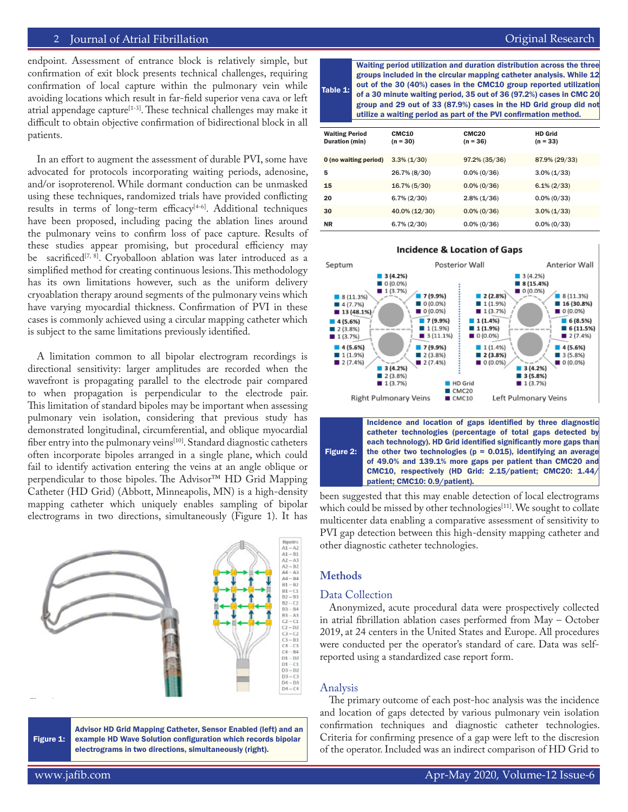# 2 Journal of Atrial Fibrillation **Community** Community Community Community Community Community Community Community

endpoint. Assessment of entrance block is relatively simple, but confirmation of exit block presents technical challenges, requiring confirmation of local capture within the pulmonary vein while avoiding locations which result in far-field superior vena cava or left atrial appendage capture<sup>[1-3]</sup>. These technical challenges may make it difficult to obtain objective confirmation of bidirectional block in all patients.

In an effort to augment the assessment of durable PVI, some have advocated for protocols incorporating waiting periods, adenosine, and/or isoproterenol. While dormant conduction can be unmasked using these techniques, randomized trials have provided conflicting results in terms of long-term efficacy<sup>[4-6]</sup>. Additional techniques have been proposed, including pacing the ablation lines around the pulmonary veins to confirm loss of pace capture. Results of these studies appear promising, but procedural efficiency may be sacrificed<sup>[7, 8]</sup>. Cryoballoon ablation was later introduced as a simplified method for creating continuous lesions. This methodology has its own limitations however, such as the uniform delivery cryoablation therapy around segments of the pulmonary veins which have varying myocardial thickness. Confirmation of PVI in these cases is commonly achieved using a circular mapping catheter which is subject to the same limitations previously identified.

A limitation common to all bipolar electrogram recordings is directional sensitivity: larger amplitudes are recorded when the wavefront is propagating parallel to the electrode pair compared to when propagation is perpendicular to the electrode pair. This limitation of standard bipoles may be important when assessing pulmonary vein isolation, considering that previous study has demonstrated longitudinal, circumferential, and oblique myocardial fiber entry into the pulmonary veins<sup>[10]</sup>. Standard diagnostic catheters often incorporate bipoles arranged in a single plane, which could fail to identify activation entering the veins at an angle oblique or perpendicular to those bipoles. The Advisor™ HD Grid Mapping Catheter (HD Grid) (Abbott, Minneapolis, MN) is a high-density mapping catheter which uniquely enables sampling of bipolar electrograms in two directions, simultaneously (Figure 1). It has



Figure 1: Advisor HD Grid Mapping Catheter, Sensor Enabled (left) and an example HD Wave Solution configuration which records bipolar electrograms in two directions, simultaneously (right).

Table 1: Waiting period utilization and duration distribution across the three groups included in the circular mapping catheter analysis. While 12 out of the 30 (40%) cases in the CMC10 group reported utilization of a 30 minute waiting period, 35 out of 36 (97.2%) cases in CMC 20 group and 29 out of 33 (87.9%) cases in the HD Grid group did not utilize a waiting period as part of the PVI confirmation method.

| <b>Waiting Period</b><br>Duration (min) | <b>CMC10</b><br>$(n = 30)$ | CMC <sub>20</sub><br>$(n = 36)$ | <b>HD Grid</b><br>$(n = 33)$ |
|-----------------------------------------|----------------------------|---------------------------------|------------------------------|
| 0 (no waiting period)                   | $3.3\% (1/30)$             | 97.2% (35/36)                   | 87.9% (29/33)                |
| 5                                       | 26.7% (8/30)               | $0.0\% (0/36)$                  | $3.0\% (1/33)$               |
| 15                                      | 16.7% (5/30)               | $0.0\% (0/36)$                  | $6.1\% (2/33)$               |
| 20                                      | $6.7\% (2/30)$             | $2.8\%$ (1/36)                  | $0.0\%$ (0/33)               |
| 30                                      | 40.0% (12/30)              | $0.0\% (0/36)$                  | $3.0\% (1/33)$               |
| <b>NR</b>                               | $6.7\% (2/30)$             | $0.0\%$ (0/36)                  | $0.0\%$ (0/33)               |

**Incidence & Location of Gaps** 



Figure 2: catheter technologies (percentage of total gaps detected by each technology). HD Grid identified significantly more gaps than the other two technologies ( $p = 0.015$ ), identifying an average of 49.0% and 139.1% more gaps per patient than CMC20 and CMC10, respectively (HD Grid: 2.15/patient; CMC20: 1.44/ patient; CMC10: 0.9/patient).

been suggested that this may enable detection of local electrograms which could be missed by other technologies<sup>[11]</sup>. We sought to collate multicenter data enabling a comparative assessment of sensitivity to PVI gap detection between this high-density mapping catheter and other diagnostic catheter technologies.

# **Methods**

# Data Collection

Anonymized, acute procedural data were prospectively collected in atrial fibrillation ablation cases performed from May – October 2019, at 24 centers in the United States and Europe. All procedures were conducted per the operator's standard of care. Data was selfreported using a standardized case report form.

#### Analysis

The primary outcome of each post-hoc analysis was the incidence and location of gaps detected by various pulmonary vein isolation confirmation techniques and diagnostic catheter technologies. Criteria for confirming presence of a gap were left to the discresion of the operator. Included was an indirect comparison of HD Grid to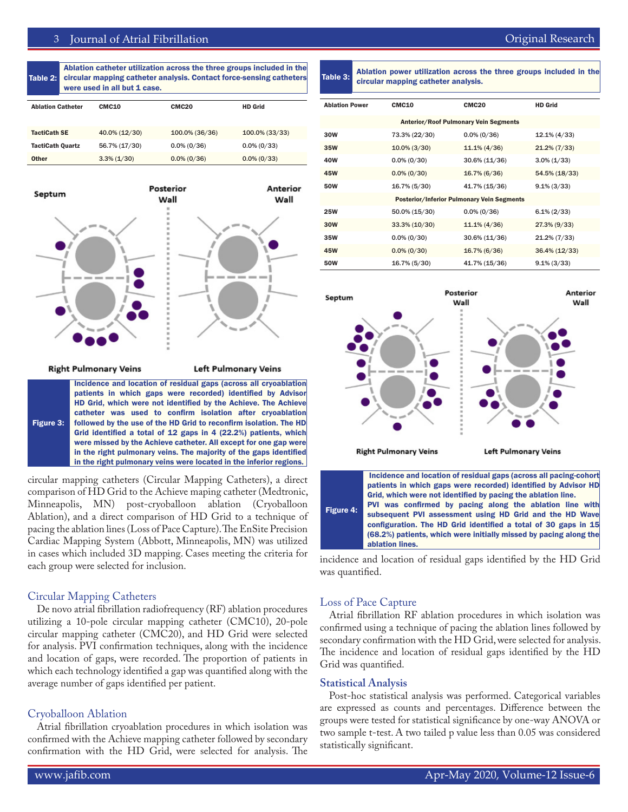# 3 Journal of Atrial Fibrillation **State Across 2018** Service Contract Contract Research **Contract Research** Featured Research **Contract Research** Featured Research **Featured Research** Service Contract Research **Featured Re**



| <b>Ablation Catheter</b> | <b>CMC10</b>   | CMC <sub>20</sub> | <b>HD Grid</b>    |
|--------------------------|----------------|-------------------|-------------------|
|                          |                |                   |                   |
| <b>TactiCath SE</b>      | 40.0% (12/30)  | 100.0% (36/36)    | $100.0\%$ (33/33) |
| <b>TactiCath Ouartz</b>  | 56.7% (17/30)  | $0.0\%$ (0/36)    | $0.0\%$ (0/33)    |
| <b>Other</b>             | $3.3\% (1/30)$ | $0.0\%$ (0/36)    | $0.0\%$ (0/33)    |



Figure 3: Incidence and location of residual gaps (across all cryoablation patients in which gaps were recorded) identified by Advisor HD Grid, which were not identified by the Achieve. The Achieve catheter was used to confirm isolation after cryoablation followed by the use of the HD Grid to reconfirm isolation. The HD Grid identified a total of 12 gaps in 4 (22.2%) patients, which were missed by the Achieve catheter. All except for one gap were in the right pulmonary veins. The majority of the gaps identified in the right pulmonary veins were located in the inferior regions.

circular mapping catheters (Circular Mapping Catheters), a direct comparison of HD Grid to the Achieve maping catheter (Medtronic, Minneapolis, MN) post-cryoballoon ablation (Cryoballoon Ablation), and a direct comparison of HD Grid to a technique of pacing the ablation lines (Loss of Pace Capture). The EnSite Precision Cardiac Mapping System (Abbott, Minneapolis, MN) was utilized in cases which included 3D mapping. Cases meeting the criteria for each group were selected for inclusion.

#### Circular Mapping Catheters

De novo atrial fibrillation radiofrequency (RF) ablation procedures utilizing a 10-pole circular mapping catheter (CMC10), 20-pole circular mapping catheter (CMC20), and HD Grid were selected for analysis. PVI confirmation techniques, along with the incidence and location of gaps, were recorded. The proportion of patients in which each technology identified a gap was quantified along with the average number of gaps identified per patient.

#### Cryoballoon Ablation

Atrial fibrillation cryoablation procedures in which isolation was confirmed with the Achieve mapping catheter followed by secondary confirmation with the HD Grid, were selected for analysis. The Table 3: Ablation power utilization across the three groups included in the circular mapping catheter analysis.

| <b>Ablation Power</b>                             | <b>CMC10</b>     | CMC <sub>20</sub> | <b>HD Grid</b>   |  |  |
|---------------------------------------------------|------------------|-------------------|------------------|--|--|
|                                                   |                  |                   |                  |  |  |
| <b>Anterior/Roof Pulmonary Vein Segments</b>      |                  |                   |                  |  |  |
| 30W                                               | 73.3% (22/30)    | $0.0\%$ (0/36)    | $12.1\%$ (4/33)  |  |  |
| 35W                                               | $10.0\%$ (3/30)  | $11.1\% (4/36)$   | $21.2\%$ (7/33)  |  |  |
| 40W                                               | $0.0\%$ (0/30)   | $30.6\% (11/36)$  | $3.0\% (1/33)$   |  |  |
| 45W                                               | $0.0\%$ (0/30)   | $16.7\%$ (6/36)   | 54.5% (18/33)    |  |  |
| <b>50W</b>                                        | 16.7% (5/30)     | 41.7% (15/36)     | $9.1\%$ (3/33)   |  |  |
| <b>Posterior/Inferior Pulmonary Vein Segments</b> |                  |                   |                  |  |  |
| <b>25W</b>                                        | 50.0% (15/30)    | $0.0\%$ (0/36)    | $6.1\% (2/33)$   |  |  |
| 30W                                               | $33.3\% (10/30)$ | $11.1\%$ (4/36)   | $27.3\%$ (9/33)  |  |  |
| 35W                                               | $0.0\%$ (0/30)   | $30.6\% (11/36)$  | $21.2\%$ (7/33)  |  |  |
| 45W                                               | $0.0\%$ (0/30)   | $16.7\%$ (6/36)   | $36.4\% (12/33)$ |  |  |
| <b>50W</b>                                        | $16.7\%$ (5/30)  | 41.7% (15/36)     | $9.1\%$ (3/33)   |  |  |



incidence and location of residual gaps identified by the HD Grid was quantified.

#### Loss of Pace Capture

Atrial fibrillation RF ablation procedures in which isolation was confirmed using a technique of pacing the ablation lines followed by secondary confirmation with the HD Grid, were selected for analysis. The incidence and location of residual gaps identified by the HD Grid was quantified.

#### **Statistical Analysis**

Post-hoc statistical analysis was performed. Categorical variables are expressed as counts and percentages. Difference between the groups were tested for statistical significance by one-way ANOVA or two sample t-test. A two tailed p value less than 0.05 was considered statistically significant.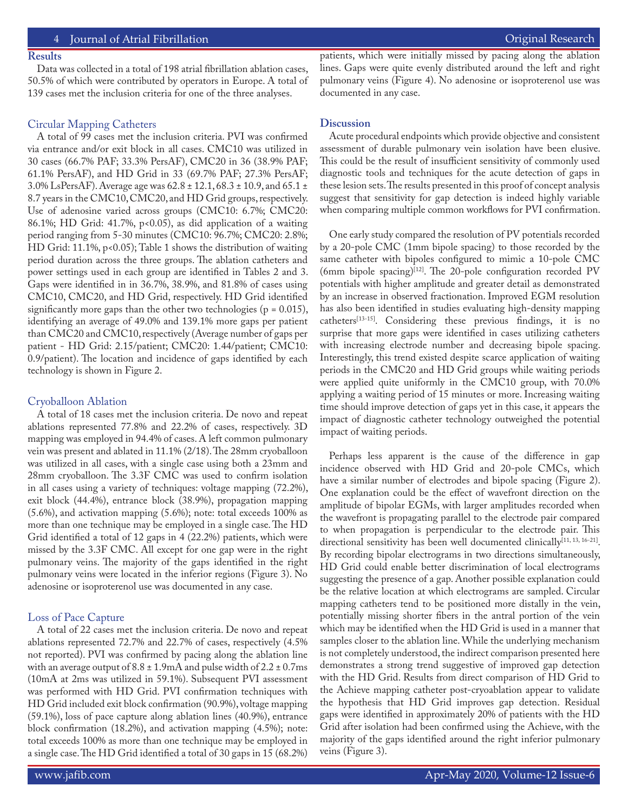#### **Results**

Data was collected in a total of 198 atrial fibrillation ablation cases, 50.5% of which were contributed by operators in Europe. A total of 139 cases met the inclusion criteria for one of the three analyses.

#### Circular Mapping Catheters

A total of 99 cases met the inclusion criteria. PVI was confirmed via entrance and/or exit block in all cases. CMC10 was utilized in 30 cases (66.7% PAF; 33.3% PersAF), CMC20 in 36 (38.9% PAF; 61.1% PersAF), and HD Grid in 33 (69.7% PAF; 27.3% PersAF; 3.0% LsPersAF). Average age was 62.8 ± 12.1, 68.3 ± 10.9, and 65.1 ± 8.7 years in the CMC10, CMC20, and HD Grid groups, respectively. Use of adenosine varied across groups (CMC10: 6.7%; CMC20: 86.1%; HD Grid: 41.7%, p<0.05), as did application of a waiting period ranging from 5-30 minutes (CMC10: 96.7%; CMC20: 2.8%; HD Grid: 11.1%, p<0.05); Table 1 shows the distribution of waiting period duration across the three groups. The ablation catheters and power settings used in each group are identified in Tables 2 and 3. Gaps were identified in in 36.7%, 38.9%, and 81.8% of cases using CMC10, CMC20, and HD Grid, respectively. HD Grid identified significantly more gaps than the other two technologies ( $p = 0.015$ ), identifying an average of 49.0% and 139.1% more gaps per patient than CMC20 and CMC10, respectively (Average number of gaps per patient - HD Grid: 2.15/patient; CMC20: 1.44/patient; CMC10: 0.9/patient). The location and incidence of gaps identified by each technology is shown in Figure 2.

#### Cryoballoon Ablation

A total of 18 cases met the inclusion criteria. De novo and repeat ablations represented 77.8% and 22.2% of cases, respectively. 3D mapping was employed in 94.4% of cases. A left common pulmonary vein was present and ablated in 11.1% (2/18). The 28mm cryoballoon was utilized in all cases, with a single case using both a 23mm and 28mm cryoballoon. The 3.3F CMC was used to confirm isolation in all cases using a variety of techniques: voltage mapping (72.2%), exit block (44.4%), entrance block (38.9%), propagation mapping (5.6%), and activation mapping (5.6%); note: total exceeds 100% as more than one technique may be employed in a single case. The HD Grid identified a total of 12 gaps in 4 (22.2%) patients, which were missed by the 3.3F CMC. All except for one gap were in the right pulmonary veins. The majority of the gaps identified in the right pulmonary veins were located in the inferior regions (Figure 3). No adenosine or isoproterenol use was documented in any case.

#### Loss of Pace Capture

A total of 22 cases met the inclusion criteria. De novo and repeat ablations represented 72.7% and 22.7% of cases, respectively (4.5% not reported). PVI was confirmed by pacing along the ablation line with an average output of  $8.8 \pm 1.9 \text{mA}$  and pulse width of  $2.2 \pm 0.7 \text{ms}$ (10mA at 2ms was utilized in 59.1%). Subsequent PVI assessment was performed with HD Grid. PVI confirmation techniques with HD Grid included exit block confirmation (90.9%), voltage mapping (59.1%), loss of pace capture along ablation lines (40.9%), entrance block confirmation (18.2%), and activation mapping (4.5%); note: total exceeds 100% as more than one technique may be employed in a single case. The HD Grid identified a total of 30 gaps in 15 (68.2%)

patients, which were initially missed by pacing along the ablation lines. Gaps were quite evenly distributed around the left and right pulmonary veins (Figure 4). No adenosine or isoproterenol use was documented in any case.

#### **Discussion**

Acute procedural endpoints which provide objective and consistent assessment of durable pulmonary vein isolation have been elusive. This could be the result of insufficient sensitivity of commonly used diagnostic tools and techniques for the acute detection of gaps in these lesion sets. The results presented in this proof of concept analysis suggest that sensitivity for gap detection is indeed highly variable when comparing multiple common workflows for PVI confirmation.

One early study compared the resolution of PV potentials recorded by a 20-pole CMC (1mm bipole spacing) to those recorded by the same catheter with bipoles configured to mimic a 10-pole CMC (6mm bipole spacing)<sup>[12]</sup>. The 20-pole configuration recorded PV potentials with higher amplitude and greater detail as demonstrated by an increase in observed fractionation. Improved EGM resolution has also been identified in studies evaluating high-density mapping catheters[13-15]. Considering these previous findings, it is no surprise that more gaps were identified in cases utilizing catheters with increasing electrode number and decreasing bipole spacing. Interestingly, this trend existed despite scarce application of waiting periods in the CMC20 and HD Grid groups while waiting periods were applied quite uniformly in the CMC10 group, with 70.0% applying a waiting period of 15 minutes or more. Increasing waiting time should improve detection of gaps yet in this case, it appears the impact of diagnostic catheter technology outweighed the potential impact of waiting periods.

Perhaps less apparent is the cause of the difference in gap incidence observed with HD Grid and 20-pole CMCs, which have a similar number of electrodes and bipole spacing (Figure 2). One explanation could be the effect of wavefront direction on the amplitude of bipolar EGMs, with larger amplitudes recorded when the wavefront is propagating parallel to the electrode pair compared to when propagation is perpendicular to the electrode pair. This directional sensitivity has been well documented clinically<sup>[11, 13, 16-21]</sup>. By recording bipolar electrograms in two directions simultaneously, HD Grid could enable better discrimination of local electrograms suggesting the presence of a gap. Another possible explanation could be the relative location at which electrograms are sampled. Circular mapping catheters tend to be positioned more distally in the vein, potentially missing shorter fibers in the antral portion of the vein which may be identified when the HD Grid is used in a manner that samples closer to the ablation line. While the underlying mechanism is not completely understood, the indirect comparison presented here demonstrates a strong trend suggestive of improved gap detection with the HD Grid. Results from direct comparison of HD Grid to the Achieve mapping catheter post-cryoablation appear to validate the hypothesis that HD Grid improves gap detection. Residual gaps were identified in approximately 20% of patients with the HD Grid after isolation had been confirmed using the Achieve, with the majority of the gaps identified around the right inferior pulmonary veins (Figure 3).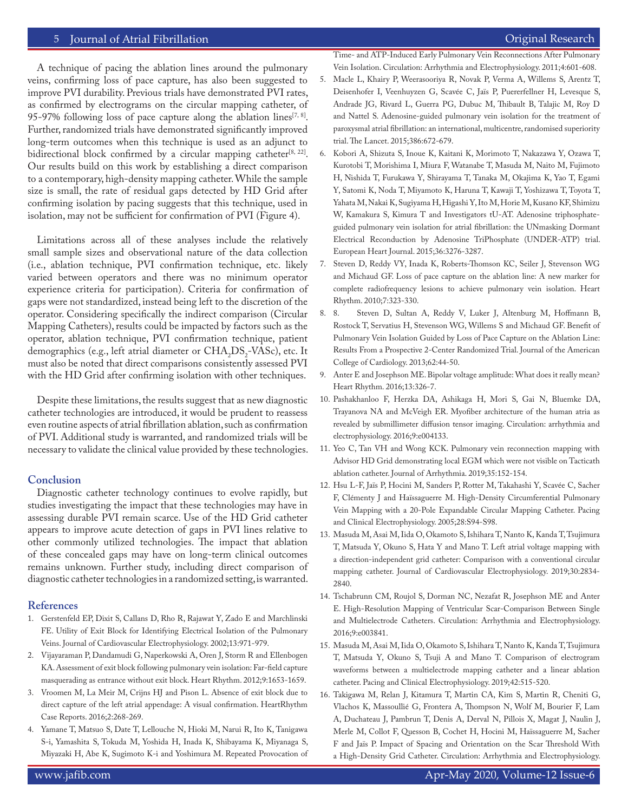# 5 Journal of Atrial Fibrillation **Community** Community Community Community Community Community Community Community

A technique of pacing the ablation lines around the pulmonary veins, confirming loss of pace capture, has also been suggested to improve PVI durability. Previous trials have demonstrated PVI rates, as confirmed by electrograms on the circular mapping catheter, of 95-97% following loss of pace capture along the ablation lines<sup>[7, 8]</sup>. Further, randomized trials have demonstrated significantly improved long-term outcomes when this technique is used as an adjunct to bidirectional block confirmed by a circular mapping catheter<sup>[8, 22]</sup>. Our results build on this work by establishing a direct comparison to a contemporary, high-density mapping catheter. While the sample size is small, the rate of residual gaps detected by HD Grid after confirming isolation by pacing suggests that this technique, used in isolation, may not be sufficient for confirmation of PVI (Figure 4).

Limitations across all of these analyses include the relatively small sample sizes and observational nature of the data collection (i.e., ablation technique, PVI confirmation technique, etc. likely varied between operators and there was no minimum operator experience criteria for participation). Criteria for confirmation of gaps were not standardized, instead being left to the discretion of the operator. Considering specifically the indirect comparison (Circular Mapping Catheters), results could be impacted by factors such as the operator, ablation technique, PVI confirmation technique, patient demographics (e.g., left atrial diameter or  $CHA_2DS_2$ -VASc), etc. It must also be noted that direct comparisons consistently assessed PVI with the HD Grid after confirming isolation with other techniques.

Despite these limitations, the results suggest that as new diagnostic catheter technologies are introduced, it would be prudent to reassess even routine aspects of atrial fibrillation ablation, such as confirmation of PVI. Additional study is warranted, and randomized trials will be necessary to validate the clinical value provided by these technologies.

#### **Conclusion**

Diagnostic catheter technology continues to evolve rapidly, but studies investigating the impact that these technologies may have in assessing durable PVI remain scarce. Use of the HD Grid catheter appears to improve acute detection of gaps in PVI lines relative to other commonly utilized technologies. The impact that ablation of these concealed gaps may have on long-term clinical outcomes remains unknown. Further study, including direct comparison of diagnostic catheter technologies in a randomized setting, is warranted.

#### **References**

- 1. Gerstenfeld EP, Dixit S, Callans D, Rho R, Rajawat Y, Zado E and Marchlinski FE. Utility of Exit Block for Identifying Electrical Isolation of the Pulmonary Veins. Journal of Cardiovascular Electrophysiology. 2002;13:971-979.
- 2. Vijayaraman P, Dandamudi G, Naperkowski A, Oren J, Storm R and Ellenbogen KA. Assessment of exit block following pulmonary vein isolation: Far-field capture masquerading as entrance without exit block. Heart Rhythm. 2012;9:1653-1659.
- 3. Vroomen M, La Meir M, Crijns HJ and Pison L. Absence of exit block due to direct capture of the left atrial appendage: A visual confirmation. HeartRhythm Case Reports. 2016;2:268-269.
- 4. Yamane T, Matsuo S, Date T, Lellouche N, Hioki M, Narui R, Ito K, Tanigawa S-i, Yamashita S, Tokuda M, Yoshida H, Inada K, Shibayama K, Miyanaga S, Miyazaki H, Abe K, Sugimoto K-i and Yoshimura M. Repeated Provocation of

Time- and ATP-Induced Early Pulmonary Vein Reconnections After Pulmonary Vein Isolation. Circulation: Arrhythmia and Electrophysiology. 2011;4:601-608. 5. Macle L, Khairy P, Weerasooriya R, Novak P, Verma A, Willems S, Arentz T, Deisenhofer I, Veenhuyzen G, Scavée C, Jaïs P, Puererfellner H, Levesque S, Andrade JG, Rivard L, Guerra PG, Dubuc M, Thibault B, Talajic M, Roy D and Nattel S. Adenosine-guided pulmonary vein isolation for the treatment of paroxysmal atrial fibrillation: an international, multicentre, randomised superiority

trial. The Lancet. 2015;386:672-679.

European Heart Journal. 2015;36:3276-3287.

7. Steven D, Reddy VY, Inada K, Roberts-Thomson KC, Seiler J, Stevenson WG and Michaud GF. Loss of pace capture on the ablation line: A new marker for complete radiofrequency lesions to achieve pulmonary vein isolation. Heart Rhythm. 2010;7:323-330.

6. Kobori A, Shizuta S, Inoue K, Kaitani K, Morimoto T, Nakazawa Y, Ozawa T, Kurotobi T, Morishima I, Miura F, Watanabe T, Masuda M, Naito M, Fujimoto H, Nishida T, Furukawa Y, Shirayama T, Tanaka M, Okajima K, Yao T, Egami Y, Satomi K, Noda T, Miyamoto K, Haruna T, Kawaji T, Yoshizawa T, Toyota T, Yahata M, Nakai K, Sugiyama H, Higashi Y, Ito M, Horie M, Kusano KF, Shimizu W, Kamakura S, Kimura T and Investigators tU-AT. Adenosine triphosphate-

- 8. 8. Steven D, Sultan A, Reddy V, Luker J, Altenburg M, Hoffmann B, Rostock T, Servatius H, Stevenson WG, Willems S and Michaud GF. Benefit of Pulmonary Vein Isolation Guided by Loss of Pace Capture on the Ablation Line: Results From a Prospective 2-Center Randomized Trial. Journal of the American College of Cardiology. 2013;62:44-50.
- 9. Anter E and Josephson ME. Bipolar voltage amplitude: What does it really mean? Heart Rhythm. 2016;13:326-7.
- 10. Pashakhanloo F, Herzka DA, Ashikaga H, Mori S, Gai N, Bluemke DA, Trayanova NA and McVeigh ER. Myofiber architecture of the human atria as revealed by submillimeter diffusion tensor imaging. Circulation: arrhythmia and electrophysiology. 2016;9:e004133.
- 11. Yeo C, Tan VH and Wong KCK. Pulmonary vein reconnection mapping with Advisor HD Grid demonstrating local EGM which were not visible on Tacticath ablation catheter. Journal of Arrhythmia. 2019;35:152-154.
- 12. Hsu L-F, Jaïs P, Hocini M, Sanders P, Rotter M, Takahashi Y, Scavée C, Sacher F, Clémenty J and Haïssaguerre M. High-Density Circumferential Pulmonary Vein Mapping with a 20-Pole Expandable Circular Mapping Catheter. Pacing and Clinical Electrophysiology. 2005;28:S94-S98.
- 13. Masuda M, Asai M, Iida O, Okamoto S, Ishihara T, Nanto K, Kanda T, Tsujimura T, Matsuda Y, Okuno S, Hata Y and Mano T. Left atrial voltage mapping with a direction-independent grid catheter: Comparison with a conventional circular mapping catheter. Journal of Cardiovascular Electrophysiology. 2019;30:2834- 2840.
- 14. Tschabrunn CM, Roujol S, Dorman NC, Nezafat R, Josephson ME and Anter E. High-Resolution Mapping of Ventricular Scar-Comparison Between Single and Multielectrode Catheters. Circulation: Arrhythmia and Electrophysiology. 2016;9:e003841.
- 15. Masuda M, Asai M, Iida O, Okamoto S, Ishihara T, Nanto K, Kanda T, Tsujimura T, Matsuda Y, Okuno S, Tsuji A and Mano T. Comparison of electrogram waveforms between a multielectrode mapping catheter and a linear ablation catheter. Pacing and Clinical Electrophysiology. 2019;42:515-520.
- 16. Takigawa M, Relan J, Kitamura T, Martin CA, Kim S, Martin R, Cheniti G, Vlachos K, Massoullié G, Frontera A, Thompson N, Wolf M, Bourier F, Lam A, Duchateau J, Pambrun T, Denis A, Derval N, Pillois X, Magat J, Naulin J, Merle M, Collot F, Quesson B, Cochet H, Hocini M, Haïssaguerre M, Sacher F and Jaïs P. Impact of Spacing and Orientation on the Scar Threshold With a High-Density Grid Catheter. Circulation: Arrhythmia and Electrophysiology.